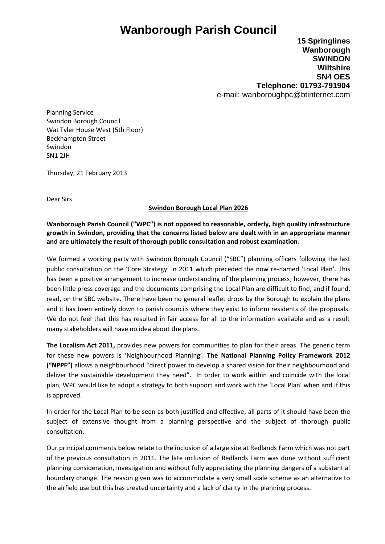## **Wanborough Parish Council**

**15 Springlines Wanborough SWINDON Wiltshire SN4 OES Telephone: 01793-791904** e-mail: wanboroughpc@btinternet.com

Planning Service Swindon Borough Council Wat Tyler House West (5th Floor) Beckhampton Street Swindon SN1 2JH

Thursday, 21 February 2013

Dear Sirs

## **Swindon Borough Local Plan 2026**

**Wanborough Parish Council ("WPC") is not opposed to reasonable, orderly, high quality infrastructure growth in Swindon, providing that the concerns listed below are dealt with in an appropriate manner and are ultimately the result of thorough public consultation and robust examination.** 

We formed a working party with Swindon Borough Council ("SBC") planning officers following the last public consultation on the 'Core Strategy' in 2011 which preceded the now re-named 'Local Plan'. This has been a positive arrangement to increase understanding of the planning process; however, there has been little press coverage and the documents comprising the Local Plan are difficult to find, and if found, read, on the SBC website. There have been no general leaflet drops by the Borough to explain the plans and it has been entirely down to parish councils where they exist to inform residents of the proposals. We do not feel that this has resulted in fair access for all to the information available and as a result many stakeholders will have no idea about the plans.

**The Localism Act 2011,** provides new powers for communities to plan for their areas. The generic term for these new powers is 'Neighbourhood Planning'. **The National Planning Policy Framework 2012 ("NPPF")** allows a neighbourhood "direct power to develop a shared vision for their neighbourhood and deliver the sustainable development they need". In order to work within and coincide with the local plan, WPC would like to adopt a strategy to both support and work with the 'Local Plan' when and if this is approved.

In order for the Local Plan to be seen as both justified and effective, all parts of it should have been the subject of extensive thought from a planning perspective and the subject of thorough public consultation.

Our principal comments below relate to the inclusion of a large site at Redlands Farm which was not part of the previous consultation in 2011. The late inclusion of Redlands Farm was done without sufficient planning consideration, investigation and without fully appreciating the planning dangers of a substantial boundary change. The reason given was to accommodate a very small scale scheme as an alternative to the airfield use but this has created uncertainty and a lack of clarity in the planning process.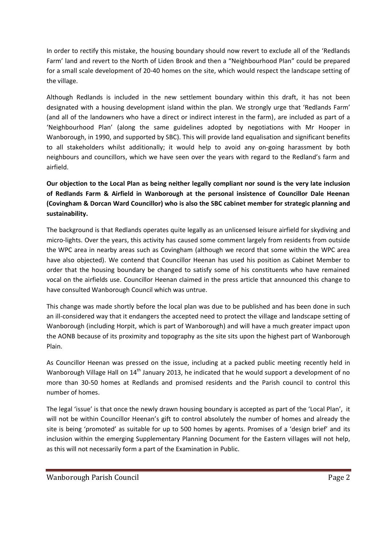In order to rectify this mistake, the housing boundary should now revert to exclude all of the 'Redlands Farm' land and revert to the North of Liden Brook and then a "Neighbourhood Plan" could be prepared for a small scale development of 20-40 homes on the site, which would respect the landscape setting of the village.

Although Redlands is included in the new settlement boundary within this draft, it has not been designated with a housing development island within the plan. We strongly urge that 'Redlands Farm' (and all of the landowners who have a direct or indirect interest in the farm), are included as part of a 'Neighbourhood Plan' (along the same guidelines adopted by negotiations with Mr Hooper in Wanborough, in 1990, and supported by SBC). This will provide land equalisation and significant benefits to all stakeholders whilst additionally; it would help to avoid any on-going harassment by both neighbours and councillors, which we have seen over the years with regard to the Redland's farm and airfield.

**Our objection to the Local Plan as being neither legally compliant nor sound is the very late inclusion of Redlands Farm & Airfield in Wanborough at the personal insistence of Councillor Dale Heenan (Covingham & Dorcan Ward Councillor) who is also the SBC cabinet member for strategic planning and sustainability.**

The background is that Redlands operates quite legally as an unlicensed leisure airfield for skydiving and micro-lights. Over the years, this activity has caused some comment largely from residents from outside the WPC area in nearby areas such as Covingham (although we record that some within the WPC area have also objected). We contend that Councillor Heenan has used his position as Cabinet Member to order that the housing boundary be changed to satisfy some of his constituents who have remained vocal on the airfields use. Councillor Heenan claimed in the press article that announced this change to have consulted Wanborough Council which was untrue.

This change was made shortly before the local plan was due to be published and has been done in such an ill-considered way that it endangers the accepted need to protect the village and landscape setting of Wanborough (including Horpit, which is part of Wanborough) and will have a much greater impact upon the AONB because of its proximity and topography as the site sits upon the highest part of Wanborough Plain.

As Councillor Heenan was pressed on the issue, including at a packed public meeting recently held in Wanborough Village Hall on 14<sup>th</sup> January 2013, he indicated that he would support a development of no more than 30-50 homes at Redlands and promised residents and the Parish council to control this number of homes.

The legal 'issue' is that once the newly drawn housing boundary is accepted as part of the 'Local Plan', it will not be within Councillor Heenan's gift to control absolutely the number of homes and already the site is being 'promoted' as suitable for up to 500 homes by agents. Promises of a 'design brief' and its inclusion within the emerging Supplementary Planning Document for the Eastern villages will not help, as this will not necessarily form a part of the Examination in Public.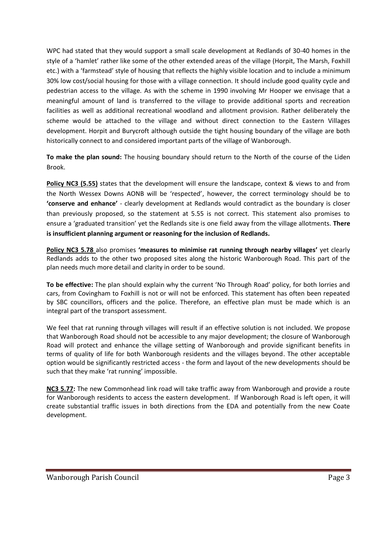WPC had stated that they would support a small scale development at Redlands of 30-40 homes in the style of a 'hamlet' rather like some of the other extended areas of the village (Horpit, The Marsh, Foxhill etc.) with a 'farmstead' style of housing that reflects the highly visible location and to include a minimum 30% low cost/social housing for those with a village connection. It should include good quality cycle and pedestrian access to the village. As with the scheme in 1990 involving Mr Hooper we envisage that a meaningful amount of land is transferred to the village to provide additional sports and recreation facilities as well as additional recreational woodland and allotment provision. Rather deliberately the scheme would be attached to the village and without direct connection to the Eastern Villages development. Horpit and Burycroft although outside the tight housing boundary of the village are both historically connect to and considered important parts of the village of Wanborough.

**To make the plan sound:** The housing boundary should return to the North of the course of the Liden Brook.

**Policy NC3 (5.55)** states that the development will ensure the landscape, context & views to and from the North Wessex Downs AONB will be 'respected', however, the correct terminology should be to **'conserve and enhance'** - clearly development at Redlands would contradict as the boundary is closer than previously proposed, so the statement at 5.55 is not correct. This statement also promises to ensure a 'graduated transition' yet the Redlands site is one field away from the village allotments. **There is insufficient planning argument or reasoning for the inclusion of Redlands.**

**Policy NC3 5.78** also promises **'measures to minimise rat running through nearby villages'** yet clearly Redlands adds to the other two proposed sites along the historic Wanborough Road. This part of the plan needs much more detail and clarity in order to be sound.

**To be effective:** The plan should explain why the current 'No Through Road' policy, for both lorries and cars, from Covingham to Foxhill is not or will not be enforced. This statement has often been repeated by SBC councillors, officers and the police. Therefore, an effective plan must be made which is an integral part of the transport assessment.

We feel that rat running through villages will result if an effective solution is not included. We propose that Wanborough Road should not be accessible to any major development; the closure of Wanborough Road will protect and enhance the village setting of Wanborough and provide significant benefits in terms of quality of life for both Wanborough residents and the villages beyond. The other acceptable option would be significantly restricted access - the form and layout of the new developments should be such that they make 'rat running' impossible.

**NC3 5.77:** The new Commonhead link road will take traffic away from Wanborough and provide a route for Wanborough residents to access the eastern development. If Wanborough Road is left open, it will create substantial traffic issues in both directions from the EDA and potentially from the new Coate development.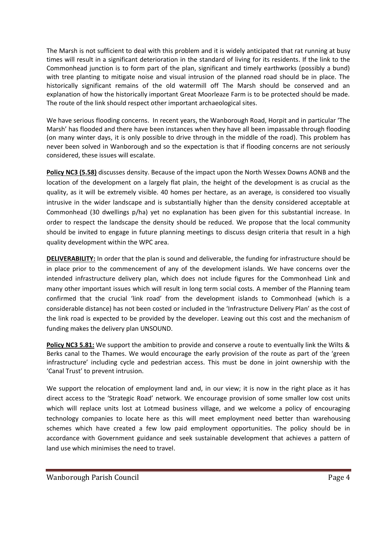The Marsh is not sufficient to deal with this problem and it is widely anticipated that rat running at busy times will result in a significant deterioration in the standard of living for its residents. If the link to the Commonhead junction is to form part of the plan, significant and timely earthworks (possibly a bund) with tree planting to mitigate noise and visual intrusion of the planned road should be in place. The historically significant remains of the old watermill off The Marsh should be conserved and an explanation of how the historically important Great Moorleaze Farm is to be protected should be made. The route of the link should respect other important archaeological sites.

We have serious flooding concerns. In recent years, the Wanborough Road, Horpit and in particular 'The Marsh' has flooded and there have been instances when they have all been impassable through flooding (on many winter days, it is only possible to drive through in the middle of the road). This problem has never been solved in Wanborough and so the expectation is that if flooding concerns are not seriously considered, these issues will escalate.

**Policy NC3 (5.58)** discusses density. Because of the impact upon the North Wessex Downs AONB and the location of the development on a largely flat plain, the height of the development is as crucial as the quality, as it will be extremely visible. 40 homes per hectare, as an average, is considered too visually intrusive in the wider landscape and is substantially higher than the density considered acceptable at Commonhead (30 dwellings p/ha) yet no explanation has been given for this substantial increase. In order to respect the landscape the density should be reduced. We propose that the local community should be invited to engage in future planning meetings to discuss design criteria that result in a high quality development within the WPC area.

**DELIVERABILITY:** In order that the plan is sound and deliverable, the funding for infrastructure should be in place prior to the commencement of any of the development islands. We have concerns over the intended infrastructure delivery plan, which does not include figures for the Commonhead Link and many other important issues which will result in long term social costs. A member of the Planning team confirmed that the crucial 'link road' from the development islands to Commonhead (which is a considerable distance) has not been costed or included in the 'Infrastructure Delivery Plan' as the cost of the link road is expected to be provided by the developer. Leaving out this cost and the mechanism of funding makes the delivery plan UNSOUND.

**Policy NC3 5.81:** We support the ambition to provide and conserve a route to eventually link the Wilts & Berks canal to the Thames. We would encourage the early provision of the route as part of the 'green infrastructure' including cycle and pedestrian access. This must be done in joint ownership with the 'Canal Trust' to prevent intrusion.

We support the relocation of employment land and, in our view; it is now in the right place as it has direct access to the 'Strategic Road' network. We encourage provision of some smaller low cost units which will replace units lost at Lotmead business village, and we welcome a policy of encouraging technology companies to locate here as this will meet employment need better than warehousing schemes which have created a few low paid employment opportunities. The policy should be in accordance with Government guidance and seek sustainable development that achieves a pattern of land use which minimises the need to travel.